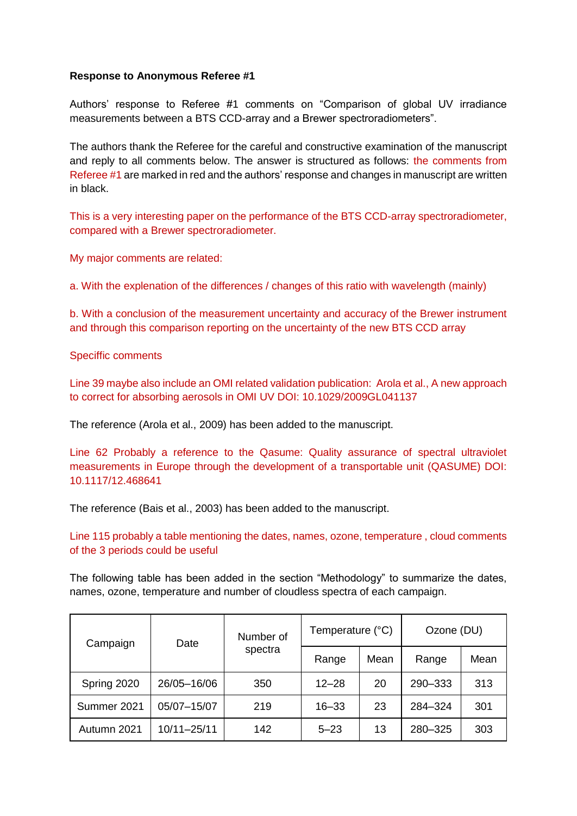# **Response to Anonymous Referee #1**

Authors' response to Referee #1 comments on "Comparison of global UV irradiance measurements between a BTS CCD-array and a Brewer spectroradiometers".

The authors thank the Referee for the careful and constructive examination of the manuscript and reply to all comments below. The answer is structured as follows: the comments from Referee #1 are marked in red and the authors' response and changes in manuscript are written in black.

This is a very interesting paper on the performance of the BTS CCD-array spectroradiometer, compared with a Brewer spectroradiometer.

My major comments are related:

a. With the explenation of the differences / changes of this ratio with wavelength (mainly)

b. With a conclusion of the measurement uncertainty and accuracy of the Brewer instrument and through this comparison reporting on the uncertainty of the new BTS CCD array

## Speciffic comments

Line 39 maybe also include an OMI related validation publication: Arola et al., A new approach to correct for absorbing aerosols in OMI UV DOI: 10.1029/2009GL041137

The reference (Arola et al., 2009) has been added to the manuscript.

Line 62 Probably a reference to the Qasume: Quality assurance of spectral ultraviolet measurements in Europe through the development of a transportable unit (QASUME) DOI: 10.1117/12.468641

The reference (Bais et al., 2003) has been added to the manuscript.

Line 115 probably a table mentioning the dates, names, ozone, temperature , cloud comments of the 3 periods could be useful

The following table has been added in the section "Methodology" to summarize the dates, names, ozone, temperature and number of cloudless spectra of each campaign.

| Campaign    | Date        | Number of<br>spectra | Temperature (°C) |      | Ozone (DU) |      |
|-------------|-------------|----------------------|------------------|------|------------|------|
|             |             |                      | Range            | Mean | Range      | Mean |
| Spring 2020 | 26/05-16/06 | 350                  | $12 - 28$        | 20   | 290-333    | 313  |
| Summer 2021 | 05/07-15/07 | 219                  | $16 - 33$        | 23   | 284-324    | 301  |
| Autumn 2021 | 10/11-25/11 | 142                  | $5 - 23$         | 13   | 280-325    | 303  |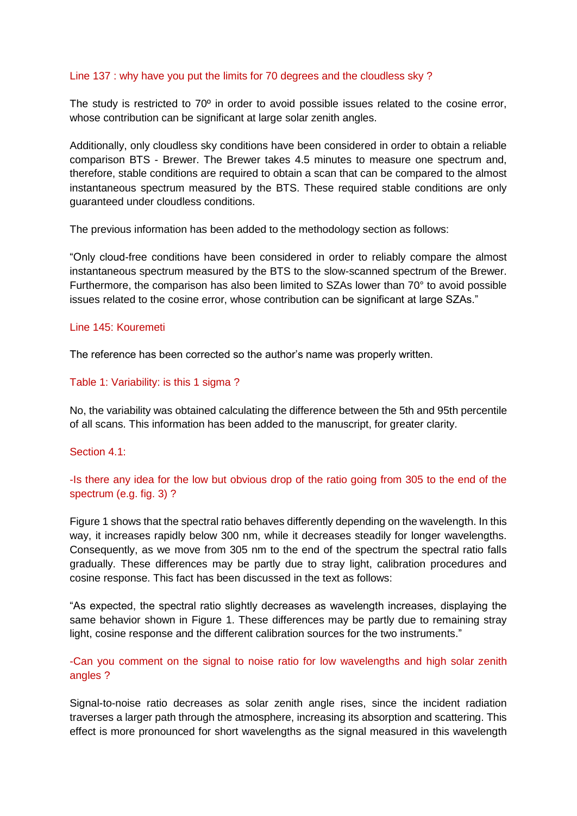## Line 137 : why have you put the limits for 70 degrees and the cloudless sky ?

The study is restricted to 70<sup>°</sup> in order to avoid possible issues related to the cosine error, whose contribution can be significant at large solar zenith angles.

Additionally, only cloudless sky conditions have been considered in order to obtain a reliable comparison BTS - Brewer. The Brewer takes 4.5 minutes to measure one spectrum and, therefore, stable conditions are required to obtain a scan that can be compared to the almost instantaneous spectrum measured by the BTS. These required stable conditions are only guaranteed under cloudless conditions.

The previous information has been added to the methodology section as follows:

"Only cloud-free conditions have been considered in order to reliably compare the almost instantaneous spectrum measured by the BTS to the slow-scanned spectrum of the Brewer. Furthermore, the comparison has also been limited to SZAs lower than 70° to avoid possible issues related to the cosine error, whose contribution can be significant at large SZAs."

#### Line 145: Kouremeti

The reference has been corrected so the author's name was properly written.

## Table 1: Variability: is this 1 sigma ?

No, the variability was obtained calculating the difference between the 5th and 95th percentile of all scans. This information has been added to the manuscript, for greater clarity.

#### Section 4.1:

-Is there any idea for the low but obvious drop of the ratio going from 305 to the end of the spectrum (e.g. fig. 3) ?

Figure 1 shows that the spectral ratio behaves differently depending on the wavelength. In this way, it increases rapidly below 300 nm, while it decreases steadily for longer wavelengths. Consequently, as we move from 305 nm to the end of the spectrum the spectral ratio falls gradually. These differences may be partly due to stray light, calibration procedures and cosine response. This fact has been discussed in the text as follows:

"As expected, the spectral ratio slightly decreases as wavelength increases, displaying the same behavior shown in Figure 1. These differences may be partly due to remaining stray light, cosine response and the different calibration sources for the two instruments."

# -Can you comment on the signal to noise ratio for low wavelengths and high solar zenith angles ?

Signal-to-noise ratio decreases as solar zenith angle rises, since the incident radiation traverses a larger path through the atmosphere, increasing its absorption and scattering. This effect is more pronounced for short wavelengths as the signal measured in this wavelength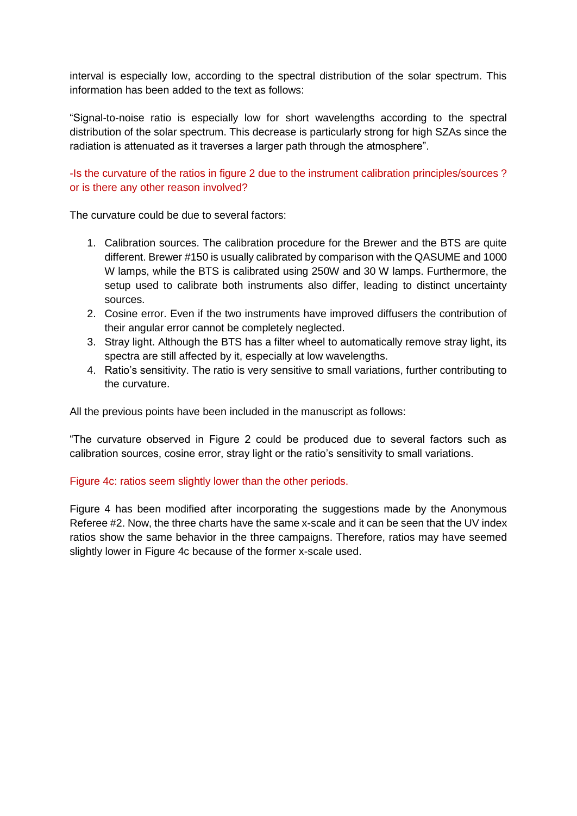interval is especially low, according to the spectral distribution of the solar spectrum. This information has been added to the text as follows:

"Signal-to-noise ratio is especially low for short wavelengths according to the spectral distribution of the solar spectrum. This decrease is particularly strong for high SZAs since the radiation is attenuated as it traverses a larger path through the atmosphere".

# -Is the curvature of the ratios in figure 2 due to the instrument calibration principles/sources ? or is there any other reason involved?

The curvature could be due to several factors:

- 1. Calibration sources. The calibration procedure for the Brewer and the BTS are quite different. Brewer #150 is usually calibrated by comparison with the QASUME and 1000 W lamps, while the BTS is calibrated using 250W and 30 W lamps. Furthermore, the setup used to calibrate both instruments also differ, leading to distinct uncertainty sources.
- 2. Cosine error. Even if the two instruments have improved diffusers the contribution of their angular error cannot be completely neglected.
- 3. Stray light. Although the BTS has a filter wheel to automatically remove stray light, its spectra are still affected by it, especially at low wavelengths.
- 4. Ratio's sensitivity. The ratio is very sensitive to small variations, further contributing to the curvature.

All the previous points have been included in the manuscript as follows:

"The curvature observed in Figure 2 could be produced due to several factors such as calibration sources, cosine error, stray light or the ratio's sensitivity to small variations.

# Figure 4c: ratios seem slightly lower than the other periods.

Figure 4 has been modified after incorporating the suggestions made by the Anonymous Referee #2. Now, the three charts have the same x-scale and it can be seen that the UV index ratios show the same behavior in the three campaigns. Therefore, ratios may have seemed slightly lower in Figure 4c because of the former x-scale used.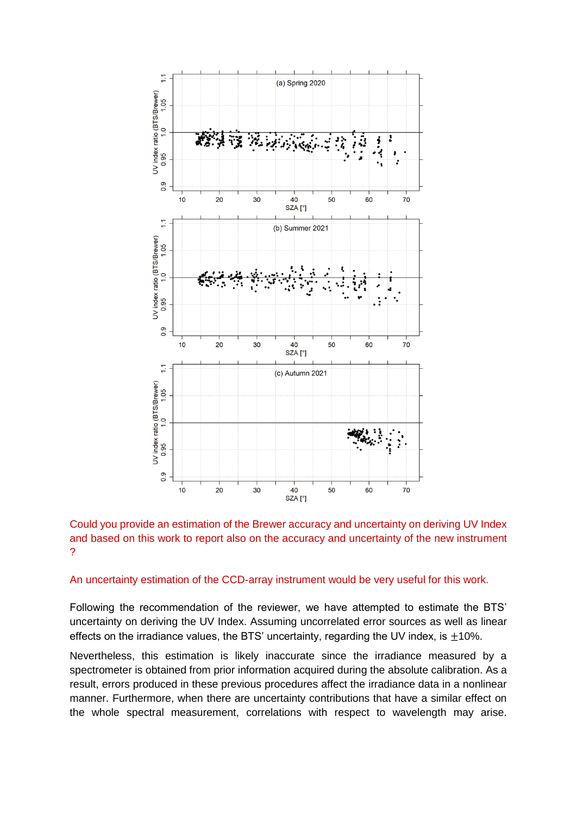

Could you provide an estimation of the Brewer accuracy and uncertainty on deriving UV Index and based on this work to report also on the accuracy and uncertainty of the new instrument ?

## An uncertainty estimation of the CCD-array instrument would be very useful for this work.

Following the recommendation of the reviewer, we have attempted to estimate the BTS' uncertainty on deriving the UV Index. Assuming uncorrelated error sources as well as linear effects on the irradiance values, the BTS' uncertainty, regarding the UV index, is  $\pm$ 10%.

Nevertheless, this estimation is likely inaccurate since the irradiance measured by a spectrometer is obtained from prior information acquired during the absolute calibration. As a result, errors produced in these previous procedures affect the irradiance data in a nonlinear manner. Furthermore, when there are uncertainty contributions that have a similar effect on the whole spectral measurement, correlations with respect to wavelength may arise.